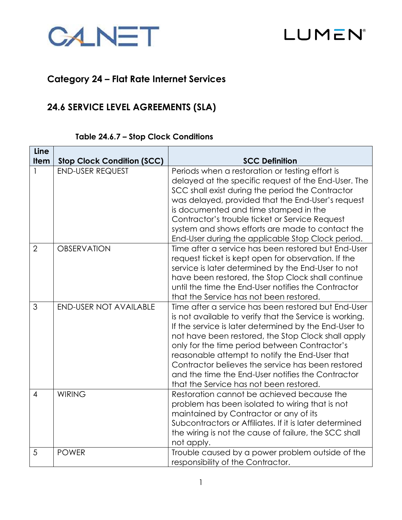



# **Category 24 – Flat Rate Internet Services**

# **24.6 SERVICE LEVEL AGREEMENTS (SLA)**

# **Table 24.6.7 – Stop Clock Conditions**

| Line           |                                   |                                                                                                                                                                                                                                                                                                                                                                                                                                                                                       |  |  |
|----------------|-----------------------------------|---------------------------------------------------------------------------------------------------------------------------------------------------------------------------------------------------------------------------------------------------------------------------------------------------------------------------------------------------------------------------------------------------------------------------------------------------------------------------------------|--|--|
| <b>Item</b>    | <b>Stop Clock Condition (SCC)</b> | <b>SCC Definition</b>                                                                                                                                                                                                                                                                                                                                                                                                                                                                 |  |  |
|                | <b>END-USER REQUEST</b>           | Periods when a restoration or testing effort is<br>delayed at the specific request of the End-User. The<br>SCC shall exist during the period the Contractor<br>was delayed, provided that the End-User's request<br>is documented and time stamped in the<br>Contractor's trouble ticket or Service Request<br>system and shows efforts are made to contact the<br>End-User during the applicable Stop Clock period.                                                                  |  |  |
| $\overline{2}$ | <b>OBSERVATION</b>                | Time after a service has been restored but End-User<br>request ticket is kept open for observation. If the<br>service is later determined by the End-User to not<br>have been restored, the Stop Clock shall continue<br>until the time the End-User notifies the Contractor<br>that the Service has not been restored.                                                                                                                                                               |  |  |
| 3              | <b>END-USER NOT AVAILABLE</b>     | Time after a service has been restored but End-User<br>is not available to verify that the Service is working.<br>If the service is later determined by the End-User to<br>not have been restored, the Stop Clock shall apply<br>only for the time period between Contractor's<br>reasonable attempt to notify the End-User that<br>Contractor believes the service has been restored<br>and the time the End-User notifies the Contractor<br>that the Service has not been restored. |  |  |
| $\overline{4}$ | <b>WIRING</b>                     | Restoration cannot be achieved because the<br>problem has been isolated to wiring that is not<br>maintained by Contractor or any of its<br>Subcontractors or Affiliates. If it is later determined<br>the wiring is not the cause of failure, the SCC shall<br>not apply.                                                                                                                                                                                                             |  |  |
| 5              | <b>POWER</b>                      | Trouble caused by a power problem outside of the<br>responsibility of the Contractor.                                                                                                                                                                                                                                                                                                                                                                                                 |  |  |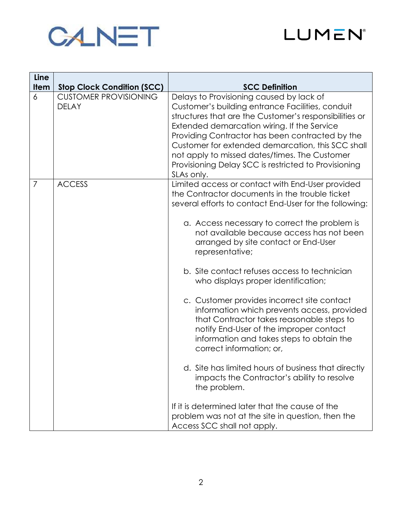



| Line<br><b>Item</b> | <b>Stop Clock Condition (SCC)</b>            | <b>SCC Definition</b>                                                                                                                                                                                                                                                                                                                                                                                                                                                                                                                                                                                                                                                                                                                                                                                                                                                                                                                    |  |  |
|---------------------|----------------------------------------------|------------------------------------------------------------------------------------------------------------------------------------------------------------------------------------------------------------------------------------------------------------------------------------------------------------------------------------------------------------------------------------------------------------------------------------------------------------------------------------------------------------------------------------------------------------------------------------------------------------------------------------------------------------------------------------------------------------------------------------------------------------------------------------------------------------------------------------------------------------------------------------------------------------------------------------------|--|--|
| 6                   | <b>CUSTOMER PROVISIONING</b><br><b>DELAY</b> | Delays to Provisioning caused by lack of<br>Customer's building entrance Facilities, conduit<br>structures that are the Customer's responsibilities or<br>Extended demarcation wiring. If the Service<br>Providing Contractor has been contracted by the<br>Customer for extended demarcation, this SCC shall<br>not apply to missed dates/times. The Customer<br>Provisioning Delay SCC is restricted to Provisioning<br>SLAs only.                                                                                                                                                                                                                                                                                                                                                                                                                                                                                                     |  |  |
| 7                   | <b>ACCESS</b>                                | Limited access or contact with End-User provided<br>the Contractor documents in the trouble ticket<br>several efforts to contact End-User for the following:<br>a. Access necessary to correct the problem is<br>not available because access has not been<br>arranged by site contact or End-User<br>representative;<br>b. Site contact refuses access to technician<br>who displays proper identification;<br>c. Customer provides incorrect site contact<br>information which prevents access, provided<br>that Contractor takes reasonable steps to<br>notify End-User of the improper contact<br>information and takes steps to obtain the<br>correct information; or,<br>d. Site has limited hours of business that directly<br>impacts the Contractor's ability to resolve<br>the problem.<br>If it is determined later that the cause of the<br>problem was not at the site in question, then the<br>Access SCC shall not apply. |  |  |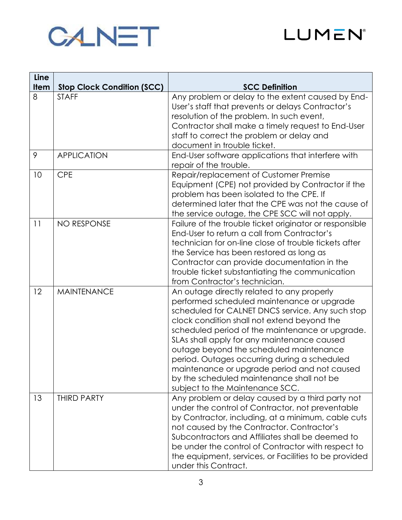



| Line        |                                   |                                                                                                                                                                                                                                                                                                                                                                                                                                                                                                                          |  |  |  |
|-------------|-----------------------------------|--------------------------------------------------------------------------------------------------------------------------------------------------------------------------------------------------------------------------------------------------------------------------------------------------------------------------------------------------------------------------------------------------------------------------------------------------------------------------------------------------------------------------|--|--|--|
| <b>Item</b> | <b>Stop Clock Condition (SCC)</b> | <b>SCC Definition</b>                                                                                                                                                                                                                                                                                                                                                                                                                                                                                                    |  |  |  |
| 8           | <b>STAFF</b>                      | Any problem or delay to the extent caused by End-<br>User's staff that prevents or delays Contractor's<br>resolution of the problem. In such event,<br>Contractor shall make a timely request to End-User<br>staff to correct the problem or delay and<br>document in trouble ticket.                                                                                                                                                                                                                                    |  |  |  |
| 9           | <b>APPLICATION</b>                | End-User software applications that interfere with<br>repair of the trouble.                                                                                                                                                                                                                                                                                                                                                                                                                                             |  |  |  |
| 10          | <b>CPE</b>                        | Repair/replacement of Customer Premise<br>Equipment (CPE) not provided by Contractor if the<br>problem has been isolated to the CPE. If<br>determined later that the CPE was not the cause of<br>the service outage, the CPE SCC will not apply.                                                                                                                                                                                                                                                                         |  |  |  |
| 11          | <b>NO RESPONSE</b>                | Failure of the trouble ticket originator or responsible<br>End-User to return a call from Contractor's<br>technician for on-line close of trouble tickets after<br>the Service has been restored as long as<br>Contractor can provide documentation in the<br>trouble ticket substantiating the communication<br>from Contractor's technician.                                                                                                                                                                           |  |  |  |
| 12          | <b>MAINTENANCE</b>                | An outage directly related to any properly<br>performed scheduled maintenance or upgrade<br>scheduled for CALNET DNCS service. Any such stop<br>clock condition shall not extend beyond the<br>scheduled period of the maintenance or upgrade.<br>SLAs shall apply for any maintenance caused<br>outage beyond the scheduled maintenance<br>period. Outages occurring during a scheduled<br>maintenance or upgrade period and not caused<br>by the scheduled maintenance shall not be<br>subject to the Maintenance SCC. |  |  |  |
| 13          | <b>THIRD PARTY</b>                | Any problem or delay caused by a third party not<br>under the control of Contractor, not preventable<br>by Contractor, including, at a minimum, cable cuts<br>not caused by the Contractor. Contractor's<br>Subcontractors and Affiliates shall be deemed to<br>be under the control of Contractor with respect to<br>the equipment, services, or Facilities to be provided<br>under this Contract.                                                                                                                      |  |  |  |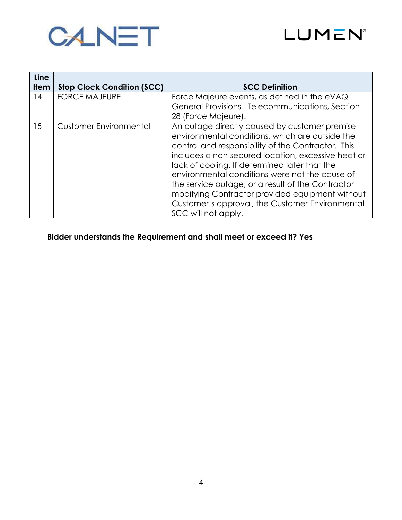



| Line        |                                   |                                                                                                                                                                                                                                                                                                                                                                                                                                                                                                   |
|-------------|-----------------------------------|---------------------------------------------------------------------------------------------------------------------------------------------------------------------------------------------------------------------------------------------------------------------------------------------------------------------------------------------------------------------------------------------------------------------------------------------------------------------------------------------------|
| <b>Item</b> | <b>Stop Clock Condition (SCC)</b> | <b>SCC Definition</b>                                                                                                                                                                                                                                                                                                                                                                                                                                                                             |
| 14          | <b>FORCE MAJEURE</b>              | Force Majeure events, as defined in the eVAQ                                                                                                                                                                                                                                                                                                                                                                                                                                                      |
|             |                                   | General Provisions - Telecommunications, Section                                                                                                                                                                                                                                                                                                                                                                                                                                                  |
|             |                                   | 28 (Force Majeure).                                                                                                                                                                                                                                                                                                                                                                                                                                                                               |
| 15          | <b>Customer Environmental</b>     | An outage directly caused by customer premise<br>environmental conditions, which are outside the<br>control and responsibility of the Contractor. This<br>includes a non-secured location, excessive heat or<br>lack of cooling. If determined later that the<br>environmental conditions were not the cause of<br>the service outage, or a result of the Contractor<br>modifying Contractor provided equipment without<br>Customer's approval, the Customer Environmental<br>SCC will not apply. |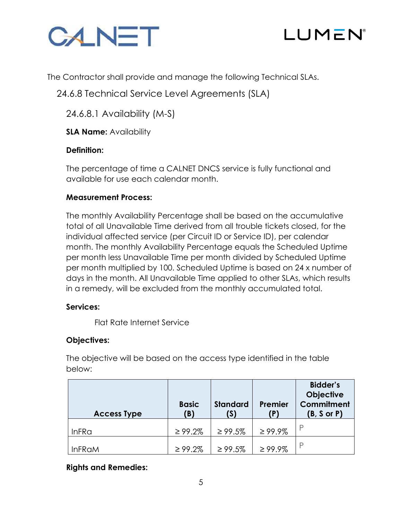



The Contractor shall provide and manage the following Technical SLAs.

24.6.8 Technical Service Level Agreements (SLA)

24.6.8.1 Availability (M-S)

**SLA Name: Availability** 

# **Definition:**

The percentage of time a CALNET DNCS service is fully functional and available for use each calendar month.

# **Measurement Process:**

The monthly Availability Percentage shall be based on the accumulative total of all Unavailable Time derived from all trouble tickets closed, for the individual affected service (per Circuit ID or Service ID), per calendar month. The monthly Availability Percentage equals the Scheduled Uptime per month less Unavailable Time per month divided by Scheduled Uptime per month multiplied by 100. Scheduled Uptime is based on 24 x number of days in the month. All Unavailable Time applied to other SLAs, which results in a remedy, will be excluded from the monthly accumulated total.

# **Services:**

Flat Rate Internet Service

# **Objectives:**

The objective will be based on the access type identified in the table below:

| <b>Access Type</b> | <b>Basic</b><br>(B) | <b>Standard</b><br>(S) | Premier<br>(P) | <b>Bidder's</b><br><b>Objective</b><br>Commitment<br>(B, S or P) |
|--------------------|---------------------|------------------------|----------------|------------------------------------------------------------------|
| <b>InFRa</b>       | $\geq 99.2\%$       | $\geq 99.5\%$          | $\geq 99.9\%$  |                                                                  |
| <b>InFRaM</b>      | $\geq 99.2\%$       | $\geq 99.5\%$          | $\geq 99.9\%$  | D                                                                |

**Rights and Remedies:**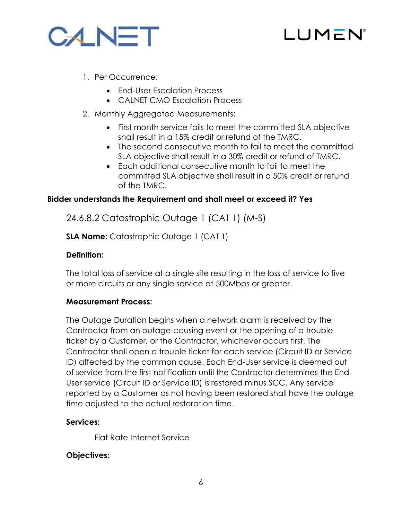



- 1. Per Occurrence:
	- End-User Escalation Process
	- CALNET CMO Escalation Process
- 2. Monthly Aggregated Measurements:
	- First month service fails to meet the committed SLA objective shall result in a 15% credit or refund of the TMRC.
	- The second consecutive month to fail to meet the committed SLA objective shall result in a 30% credit or refund of TMRC.
	- Each additional consecutive month to fail to meet the committed SLA objective shall result in a 50% credit or refund of the TMRC.

24.6.8.2 Catastrophic Outage 1 (CAT 1) (M-S)

**SLA Name:** Catastrophic Outage 1 (CAT 1)

# **Definition:**

The total loss of service at a single site resulting in the loss of service to five or more circuits or any single service at 500Mbps or greater.

# **Measurement Process:**

The Outage Duration begins when a network alarm is received by the Contractor from an outage-causing event or the opening of a trouble ticket by a Customer, or the Contractor, whichever occurs first. The Contractor shall open a trouble ticket for each service (Circuit ID or Service ID) affected by the common cause. Each End-User service is deemed out of service from the first notification until the Contractor determines the End-User service (Circuit ID or Service ID) is restored minus SCC. Any service reported by a Customer as not having been restored shall have the outage time adjusted to the actual restoration time.

# **Services:**

Flat Rate Internet Service

# **Objectives:**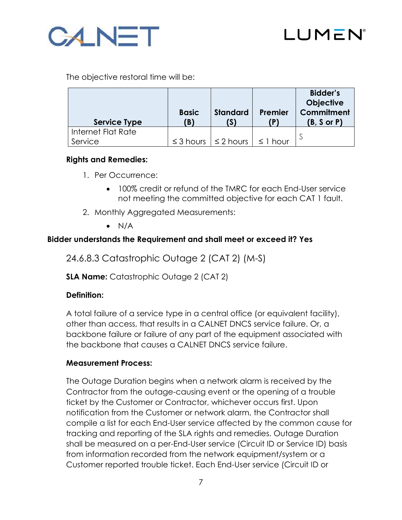



The objective restoral time will be:

| Service Type       | <b>Basic</b><br>(B) | <b>Standard</b><br>(S)              | Premier       | <b>Bidder's</b><br><b>Objective</b><br>Commitment<br>$(B, S \text{ or } P)$ |
|--------------------|---------------------|-------------------------------------|---------------|-----------------------------------------------------------------------------|
| Internet Flat Rate |                     |                                     |               |                                                                             |
| Service            |                     | $\leq$ 3 hours $  \leq$ 2 hours $ $ | $\leq$ 1 hour |                                                                             |

# **Rights and Remedies:**

- 1. Per Occurrence:
	- 100% credit or refund of the TMRC for each End-User service not meeting the committed objective for each CAT 1 fault.
- 2. Monthly Aggregated Measurements:
	- $\bullet$  N/A

# **Bidder understands the Requirement and shall meet or exceed it? Yes**

24.6.8.3 Catastrophic Outage 2 (CAT 2) (M-S)

**SLA Name:** Catastrophic Outage 2 (CAT 2)

# **Definition:**

A total failure of a service type in a central office (or equivalent facility), other than access, that results in a CALNET DNCS service failure. Or, a backbone failure or failure of any part of the equipment associated with the backbone that causes a CALNET DNCS service failure.

# **Measurement Process:**

The Outage Duration begins when a network alarm is received by the Contractor from the outage-causing event or the opening of a trouble ticket by the Customer or Contractor, whichever occurs first. Upon notification from the Customer or network alarm, the Contractor shall compile a list for each End-User service affected by the common cause for tracking and reporting of the SLA rights and remedies. Outage Duration shall be measured on a per-End-User service (Circuit ID or Service ID) basis from information recorded from the network equipment/system or a Customer reported trouble ticket. Each End-User service (Circuit ID or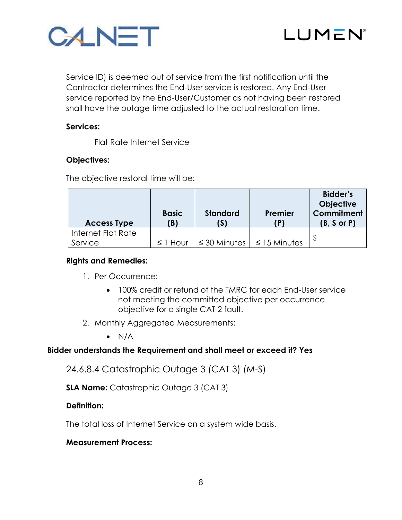



Service ID) is deemed out of service from the first notification until the Contractor determines the End-User service is restored. Any End-User service reported by the End-User/Customer as not having been restored shall have the outage time adjusted to the actual restoration time.

#### **Services:**

Flat Rate Internet Service

#### **Objectives:**

The objective restoral time will be:

| <b>Access Type</b> | <b>Basic</b><br><b>(B)</b> | <b>Standard</b><br>(S) | Premier           | <b>Bidder's</b><br><b>Objective</b><br>Commitment<br>(B, S or P) |
|--------------------|----------------------------|------------------------|-------------------|------------------------------------------------------------------|
| Internet Flat Rate |                            |                        |                   |                                                                  |
| Service            | $\leq$ 1 Hour              | $\leq$ 30 Minutes      | $\leq$ 15 Minutes |                                                                  |

#### **Rights and Remedies:**

- 1. Per Occurrence:
	- 100% credit or refund of the TMRC for each End-User service not meeting the committed objective per occurrence objective for a single CAT 2 fault.
- 2. Monthly Aggregated Measurements:
	- $\bullet$  N/A

# **Bidder understands the Requirement and shall meet or exceed it? Yes**

24.6.8.4 Catastrophic Outage 3 (CAT 3) (M-S)

**SLA Name:** Catastrophic Outage 3 (CAT 3)

#### **Definition:**

The total loss of Internet Service on a system wide basis.

#### **Measurement Process:**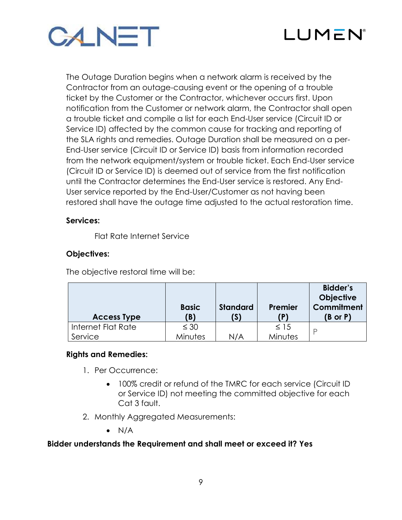



The Outage Duration begins when a network alarm is received by the Contractor from an outage-causing event or the opening of a trouble ticket by the Customer or the Contractor, whichever occurs first. Upon notification from the Customer or network alarm, the Contractor shall open a trouble ticket and compile a list for each End-User service (Circuit ID or Service ID) affected by the common cause for tracking and reporting of the SLA rights and remedies. Outage Duration shall be measured on a per-End-User service (Circuit ID or Service ID) basis from information recorded from the network equipment/system or trouble ticket. Each End-User service (Circuit ID or Service ID) is deemed out of service from the first notification until the Contractor determines the End-User service is restored. Any End-User service reported by the End-User/Customer as not having been restored shall have the outage time adjusted to the actual restoration time.

#### **Services:**

Flat Rate Internet Service

# **Objectives:**

The objective restoral time will be:

| <b>Access Type</b> | <b>Basic</b><br>(B) | <b>Standard</b><br>(S) | Premier<br>(P) | <b>Bidder's</b><br><b>Objective</b><br>Commitment<br>$(B \text{ or } P)$ |
|--------------------|---------------------|------------------------|----------------|--------------------------------------------------------------------------|
| Internet Flat Rate | $\leq 30$           |                        | $\leq$ 15      |                                                                          |
| Service            | <b>Minutes</b>      | N/A                    | Minutes        |                                                                          |

# **Rights and Remedies:**

- 1. Per Occurrence:
	- 100% credit or refund of the TMRC for each service (Circuit ID or Service ID) not meeting the committed objective for each Cat 3 fault.
- 2. Monthly Aggregated Measurements:
	- $\bullet$  N/A

# **Bidder understands the Requirement and shall meet or exceed it? Yes**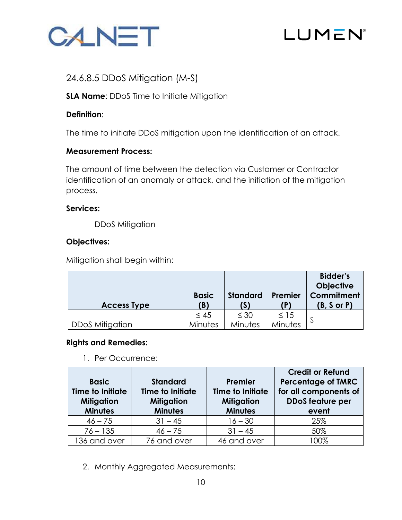

# LUMEN

# 24.6.8.5 DDoS Mitigation (M-S)

**SLA Name:** DDoS Time to Initiate Mitigation

# **Definition**:

The time to initiate DDoS mitigation upon the identification of an attack.

# **Measurement Process:**

The amount of time between the detection via Customer or Contractor identification of an anomaly or attack, and the initiation of the mitigation process.

# **Services:**

DDoS Mitigation

# **Objectives:**

Mitigation shall begin within:

|                        | <b>Basic</b> | <b>Standard</b> | Premier   | <b>Bidder's</b><br><b>Objective</b><br>Commitment |
|------------------------|--------------|-----------------|-----------|---------------------------------------------------|
| <b>Access Type</b>     | (B)          | (S)             |           | (B, S or P)                                       |
|                        | $\leq 45$    | $\leq 30$       | $\leq$ 15 |                                                   |
| <b>DDoS Mitigation</b> | Minutes      | Minutes         | Minutes   |                                                   |

# **Rights and Remedies:**

1. Per Occurrence:

| <b>Basic</b><br><b>Time to Initiate</b><br><b>Mitigation</b><br><b>Minutes</b> | <b>Standard</b><br><b>Time to Initiate</b><br><b>Mitigation</b><br><b>Minutes</b> | Premier<br><b>Time to Initiate</b><br><b>Mitigation</b><br><b>Minutes</b> | <b>Credit or Refund</b><br><b>Percentage of TMRC</b><br>for all components of<br><b>DDoS</b> feature per<br>event |  |
|--------------------------------------------------------------------------------|-----------------------------------------------------------------------------------|---------------------------------------------------------------------------|-------------------------------------------------------------------------------------------------------------------|--|
| $46 - 75$                                                                      | $31 - 45$                                                                         | $16 - 30$                                                                 | 25%                                                                                                               |  |
| $76 - 135$                                                                     | $46 - 75$                                                                         | $31 - 45$                                                                 | 50%                                                                                                               |  |
| 136 and over                                                                   | 76 and over                                                                       | 46 and over                                                               | 100%                                                                                                              |  |

2. Monthly Aggregated Measurements: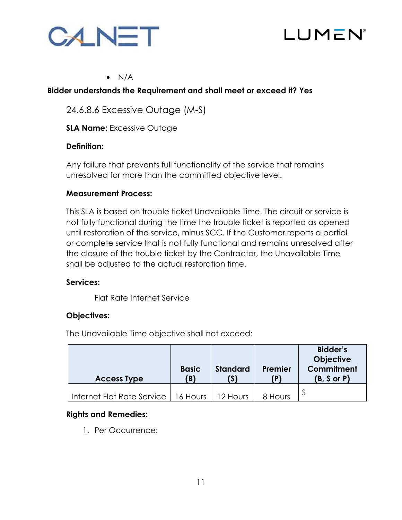



#### $\bullet$  N/A

#### **Bidder understands the Requirement and shall meet or exceed it? Yes**

24.6.8.6 Excessive Outage (M-S)

**SLA Name:** Excessive Outage

#### **Definition:**

Any failure that prevents full functionality of the service that remains unresolved for more than the committed objective level.

#### **Measurement Process:**

This SLA is based on trouble ticket Unavailable Time. The circuit or service is not fully functional during the time the trouble ticket is reported as opened until restoration of the service, minus SCC. If the Customer reports a partial or complete service that is not fully functional and remains unresolved after the closure of the trouble ticket by the Contractor, the Unavailable Time shall be adjusted to the actual restoration time.

#### **Services:**

Flat Rate Internet Service

# **Objectives:**

The Unavailable Time objective shall not exceed:

| <b>Access Type</b>         | <b>Basic</b><br>(B) | <b>Standard</b><br>6 | Premier | <b>Bidder's</b><br><b>Objective</b><br>Commitment<br>$(B, S \text{ or } P)$ |
|----------------------------|---------------------|----------------------|---------|-----------------------------------------------------------------------------|
| Internet Flat Rate Service | 16 Hours            | 12 Hours             | 8 Hours |                                                                             |

# **Rights and Remedies:**

1. Per Occurrence: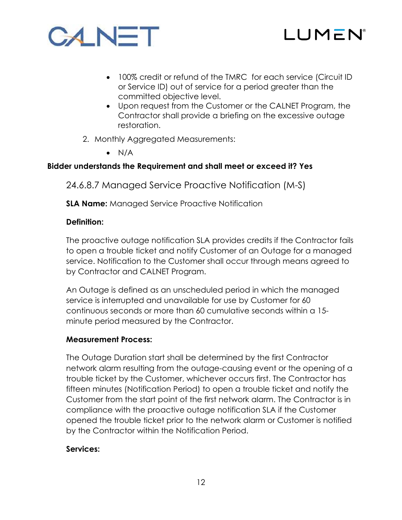



- 100% credit or refund of the TMRC for each service (Circuit ID or Service ID) out of service for a period greater than the committed objective level.
- Upon request from the Customer or the CALNET Program, the Contractor shall provide a briefing on the excessive outage restoration.
- 2. Monthly Aggregated Measurements:
	- $\bullet$  N/A

24.6.8.7 Managed Service Proactive Notification (M-S)

**SLA Name:** Managed Service Proactive Notification

# **Definition:**

The proactive outage notification SLA provides credits if the Contractor fails to open a trouble ticket and notify Customer of an Outage for a managed service. Notification to the Customer shall occur through means agreed to by Contractor and CALNET Program.

An Outage is defined as an unscheduled period in which the managed service is interrupted and unavailable for use by Customer for 60 continuous seconds or more than 60 cumulative seconds within a 15 minute period measured by the Contractor.

# **Measurement Process:**

The Outage Duration start shall be determined by the first Contractor network alarm resulting from the outage-causing event or the opening of a trouble ticket by the Customer, whichever occurs first. The Contractor has fifteen minutes (Notification Period) to open a trouble ticket and notify the Customer from the start point of the first network alarm. The Contractor is in compliance with the proactive outage notification SLA if the Customer opened the trouble ticket prior to the network alarm or Customer is notified by the Contractor within the Notification Period.

# **Services:**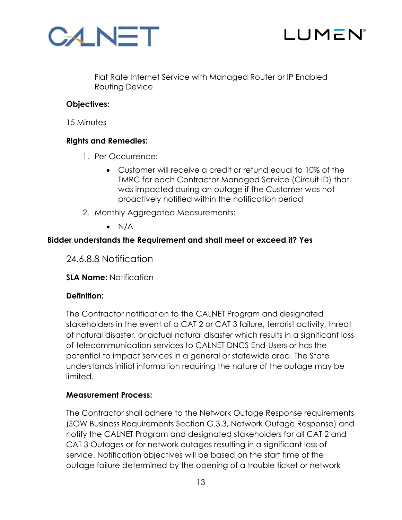



Flat Rate Internet Service with Managed Router or IP Enabled Routing Device

# **Objectives:**

15 Minutes

# **Rights and Remedies:**

- 1. Per Occurrence:
	- Customer will receive a credit or refund equal to 10% of the TMRC for each Contractor Managed Service (Circuit ID) that was impacted during an outage if the Customer was not proactively notified within the notification period
- 2. Monthly Aggregated Measurements:
	- $\bullet$  N/A

# **Bidder understands the Requirement and shall meet or exceed it? Yes**

24.6.8.8 Notification

**SLA Name:** Notification

# **Definition:**

The Contractor notification to the CALNET Program and designated stakeholders in the event of a CAT 2 or CAT 3 failure, terrorist activity, threat of natural disaster, or actual natural disaster which results in a significant loss of telecommunication services to CALNET DNCS End-Users or has the potential to impact services in a general or statewide area. The State understands initial information requiring the nature of the outage may be limited.

# **Measurement Process:**

The Contractor shall adhere to the Network Outage Response requirements (SOW Business Requirements Section G.3.3, Network Outage Response) and notify the CALNET Program and designated stakeholders for all CAT 2 and CAT 3 Outages or for network outages resulting in a significant loss of service. Notification objectives will be based on the start time of the outage failure determined by the opening of a trouble ticket or network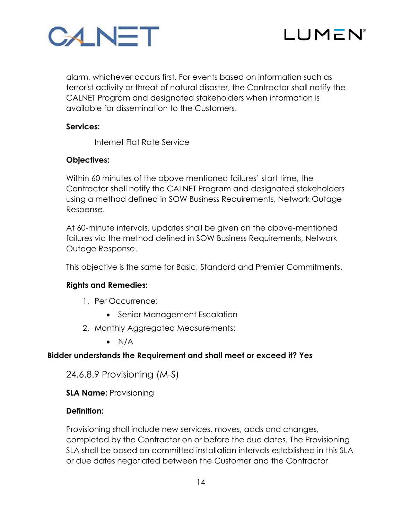



alarm, whichever occurs first. For events based on information such as terrorist activity or threat of natural disaster, the Contractor shall notify the CALNET Program and designated stakeholders when information is available for dissemination to the Customers.

# **Services:**

Internet Flat Rate Service

# **Objectives:**

Within 60 minutes of the above mentioned failures' start time, the Contractor shall notify the CALNET Program and designated stakeholders using a method defined in SOW Business Requirements, Network Outage Response.

At 60-minute intervals, updates shall be given on the above-mentioned failures via the method defined in SOW Business Requirements, Network Outage Response.

This objective is the same for Basic, Standard and Premier Commitments.

#### **Rights and Remedies:**

- 1. Per Occurrence:
	- Senior Management Escalation
- 2. Monthly Aggregated Measurements:
	- $\bullet$  N/A

# **Bidder understands the Requirement and shall meet or exceed it? Yes**

24.6.8.9 Provisioning (M-S)

**SLA Name:** Provisioning

#### **Definition:**

Provisioning shall include new services, moves, adds and changes, completed by the Contractor on or before the due dates. The Provisioning SLA shall be based on committed installation intervals established in this SLA or due dates negotiated between the Customer and the Contractor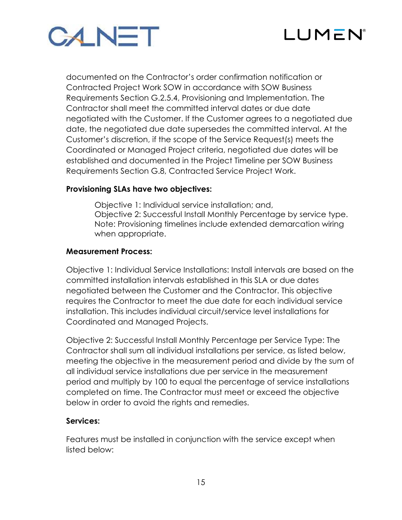



documented on the Contractor's order confirmation notification or Contracted Project Work SOW in accordance with SOW Business Requirements Section G.2.5.4, Provisioning and Implementation. The Contractor shall meet the committed interval dates or due date negotiated with the Customer. If the Customer agrees to a negotiated due date, the negotiated due date supersedes the committed interval. At the Customer's discretion, if the scope of the Service Request(s) meets the Coordinated or Managed Project criteria, negotiated due dates will be established and documented in the Project Timeline per SOW Business Requirements Section G.8, Contracted Service Project Work.

#### **Provisioning SLAs have two objectives:**

Objective 1: Individual service installation; and, Objective 2: Successful Install Monthly Percentage by service type. Note: Provisioning timelines include extended demarcation wiring when appropriate.

#### **Measurement Process:**

Objective 1: Individual Service Installations: Install intervals are based on the committed installation intervals established in this SLA or due dates negotiated between the Customer and the Contractor. This objective requires the Contractor to meet the due date for each individual service installation. This includes individual circuit/service level installations for Coordinated and Managed Projects.

Objective 2: Successful Install Monthly Percentage per Service Type: The Contractor shall sum all individual installations per service, as listed below, meeting the objective in the measurement period and divide by the sum of all individual service installations due per service in the measurement period and multiply by 100 to equal the percentage of service installations completed on time. The Contractor must meet or exceed the objective below in order to avoid the rights and remedies.

#### **Services:**

Features must be installed in conjunction with the service except when listed below: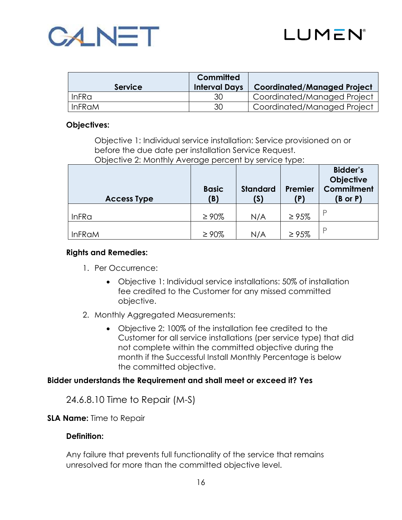



|                   | Committed            |                                    |
|-------------------|----------------------|------------------------------------|
| <b>Service</b>    | <b>Interval Days</b> | <b>Coordinated/Managed Project</b> |
| InFR <sub>G</sub> | 30                   | Coordinated/Managed Project        |
| <b>InFRaM</b>     | 30                   | Coordinated/Managed Project        |

#### **Objectives:**

Objective 1: Individual service installation: Service provisioned on or before the due date per installation Service Request.

Objective 2: Monthly Average percent by service type:

| <b>Access Type</b> | <b>Basic</b><br>(B) | <b>Standard</b><br>(S) | Premier<br>(P) | <b>Bidder's</b><br><b>Objective</b><br>Commitment<br>$(B \text{ or } P)$ |
|--------------------|---------------------|------------------------|----------------|--------------------------------------------------------------------------|
| <b>InFRa</b>       | $\geq 90\%$         | N/A                    | $\geq 95\%$    |                                                                          |
| <b>InFRaM</b>      | $\geq 90\%$         | N/A                    | $\geq 95\%$    | P                                                                        |

#### **Rights and Remedies:**

- 1. Per Occurrence:
	- Objective 1: Individual service installations: 50% of installation fee credited to the Customer for any missed committed objective.
- 2. Monthly Aggregated Measurements:
	- Objective 2: 100% of the installation fee credited to the Customer for all service installations (per service type) that did not complete within the committed objective during the month if the Successful Install Monthly Percentage is below the committed objective.

#### **Bidder understands the Requirement and shall meet or exceed it? Yes**

24.6.8.10 Time to Repair (M-S)

#### **SLA Name:** Time to Repair

#### **Definition:**

Any failure that prevents full functionality of the service that remains unresolved for more than the committed objective level.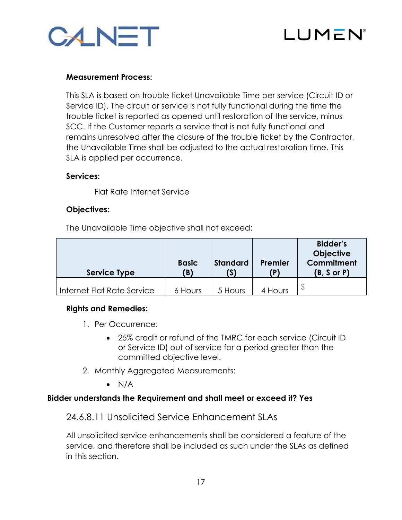



#### **Measurement Process:**

This SLA is based on trouble ticket Unavailable Time per service (Circuit ID or Service ID). The circuit or service is not fully functional during the time the trouble ticket is reported as opened until restoration of the service, minus SCC. If the Customer reports a service that is not fully functional and remains unresolved after the closure of the trouble ticket by the Contractor, the Unavailable Time shall be adjusted to the actual restoration time. This SLA is applied per occurrence.

#### **Services:**

Flat Rate Internet Service

#### **Objectives:**

The Unavailable Time objective shall not exceed:

| <b>Service Type</b>        | <b>Basic</b><br>(B) | <b>Standard</b><br>(S) | Premier<br>(P) | <b>Bidder's</b><br><b>Objective</b><br>Commitment<br>(B, S or P) |
|----------------------------|---------------------|------------------------|----------------|------------------------------------------------------------------|
|                            |                     |                        |                |                                                                  |
| Internet Flat Rate Service | 6 Hours             | 5 Hours                | 4 Hours        |                                                                  |

# **Rights and Remedies:**

- 1. Per Occurrence:
	- 25% credit or refund of the TMRC for each service (Circuit ID or Service ID) out of service for a period greater than the committed objective level.
- 2. Monthly Aggregated Measurements:
	- $\bullet$  N/A

#### **Bidder understands the Requirement and shall meet or exceed it? Yes**

# 24.6.8.11 Unsolicited Service Enhancement SLAs

All unsolicited service enhancements shall be considered a feature of the service, and therefore shall be included as such under the SLAs as defined in this section.